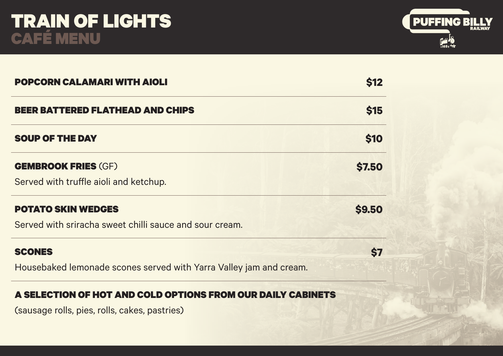## TRAIN OF LIGHTS CAFÉ MENU



| <b>POPCORN CALAMARI WITH AIOLI</b>                                                   | <b>\$12</b>   |  |
|--------------------------------------------------------------------------------------|---------------|--|
| <b>BEER BATTERED FLATHEAD AND CHIPS</b>                                              | <b>\$15</b>   |  |
| <b>SOUP OF THE DAY</b>                                                               | <b>\$10</b>   |  |
| <b>GEMBROOK FRIES (GF)</b><br>Served with truffle aioli and ketchup.                 | \$7.50        |  |
| <b>POTATO SKIN WEDGES</b><br>Served with sriracha sweet chilli sauce and sour cream. | <b>\$9.50</b> |  |
| <b>SCONES</b><br>Housebaked lemonade scones served with Yarra Valley jam and cream.  | <b>S7</b>     |  |

## A SELECTION OF HOT AND COLD OPTIONS FROM OUR DAILY CABINETS

(sausage rolls, pies, rolls, cakes, pastries)